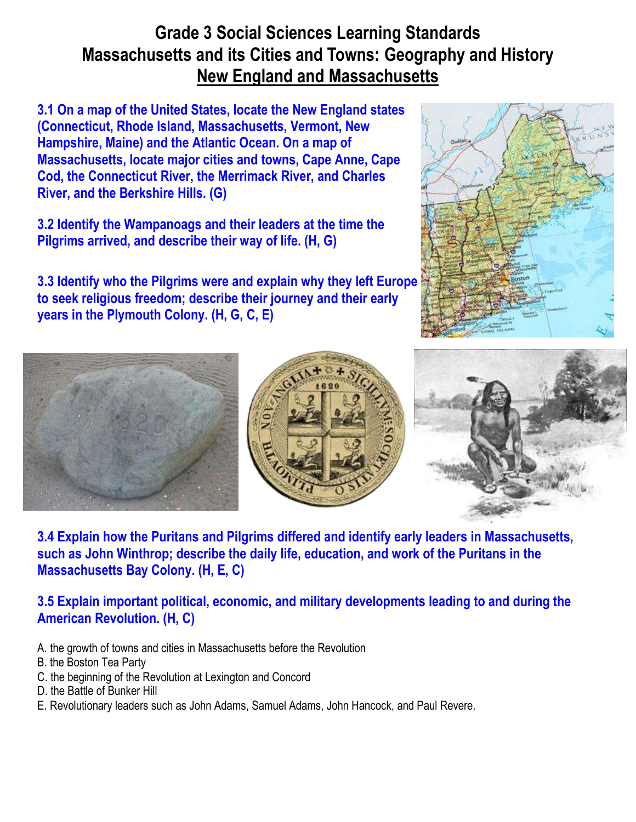## **Grade 3 Social Sciences Learning Standards Massachusetts and its Cities and Towns: Geography and History New England and Massachusetts**

**[3.1 On a map of the United States, locate the New England states](http://resourcesforhistoryteachers.wikispaces.com/3.1)  [\(Connecticut, Rhode Island, Massachusetts, Vermont, New](http://resourcesforhistoryteachers.wikispaces.com/3.1)  [Hampshire, Maine\) and the Atlantic Ocean. On a map of](http://resourcesforhistoryteachers.wikispaces.com/3.1)  [Massachusetts, locate major cities and towns, Cape Anne, Cape](http://resourcesforhistoryteachers.wikispaces.com/3.1)  [Cod, the Connecticut River, the Merrimack River, and Charles](http://resourcesforhistoryteachers.wikispaces.com/3.1)  [River, and the Berkshire Hills. \(G\)](http://resourcesforhistoryteachers.wikispaces.com/3.1)**

**[3.2 Identify the Wampanoags and their leaders at the time the](http://resourcesforhistoryteachers.wikispaces.com/3.2)  [Pilgrims arrived, and describe their way of life. \(H, G\)](http://resourcesforhistoryteachers.wikispaces.com/3.2)**

**[3.3 Identify who the Pilgrims were and explain why they left Europe](http://resourcesforhistoryteachers.wikispaces.com/3.3)  [to seek religious freedom; describe their journey and their early](http://resourcesforhistoryteachers.wikispaces.com/3.3)  [years in the Plymouth Colony. \(H, G, C, E\)](http://resourcesforhistoryteachers.wikispaces.com/3.3)**









**[3.4 Explain how the Puritans and Pilgrims differed and identify early leaders in Massachusetts,](http://resourcesforhistoryteachers.wikispaces.com/3.4)  [such as John Winthrop; describe the daily life, education, and work of the Puritans in the](http://resourcesforhistoryteachers.wikispaces.com/3.4)  [Massachusetts Bay Colony. \(H, E, C\)](http://resourcesforhistoryteachers.wikispaces.com/3.4)**

**[3.5 Explain important political, economic, and military developments leading to and during the](http://resourcesforhistoryteachers.wikispaces.com/3.5)  [American Revolution. \(H, C\)](http://resourcesforhistoryteachers.wikispaces.com/3.5)**

- A. the growth of towns and cities in Massachusetts before the Revolution
- B. the Boston Tea Party
- C. the beginning of the Revolution at Lexington and Concord
- D. the Battle of Bunker Hill
- E. Revolutionary leaders such as John Adams, Samuel Adams, John Hancock, and Paul Revere.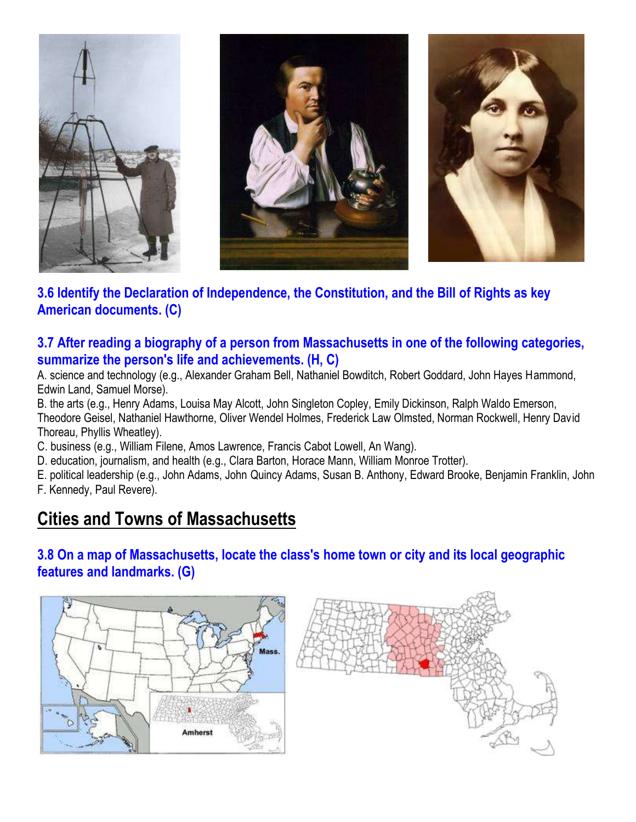

## **[3.6 Identify the Declaration of Independence, the Constitution, and the Bill of Rights as key](http://resourcesforhistoryteachers.wikispaces.com/3.6)  [American documents. \(C\)](http://resourcesforhistoryteachers.wikispaces.com/3.6)**

#### **[3.7 After reading a biography of a person from Massachusetts in one of the following categories,](http://resourcesforhistoryteachers.wikispaces.com/3.7)  [summarize the person's life and achievements. \(H, C\)](http://resourcesforhistoryteachers.wikispaces.com/3.7)**

A. science and technology (e.g., Alexander Graham Bell, Nathaniel Bowditch, Robert Goddard, John Hayes Hammond, Edwin Land, Samuel Morse).

B. the arts (e.g., Henry Adams, Louisa May Alcott, John Singleton Copley, Emily Dickinson, Ralph Waldo Emerson, Theodore Geisel, Nathaniel Hawthorne, Oliver Wendel Holmes, Frederick Law Olmsted, Norman Rockwell, Henry David Thoreau, Phyllis Wheatley).

C. business (e.g., William Filene, Amos Lawrence, Francis Cabot Lowell, An Wang).

D. education, journalism, and health (e.g., Clara Barton, Horace Mann, William Monroe Trotter).

E. political leadership (e.g., John Adams, John Quincy Adams, Susan B. Anthony, Edward Brooke, Benjamin Franklin, John F. Kennedy, Paul Revere).

# **Cities and Towns of Massachusetts**

### **[3.8 On a map of Massachusetts, locate the class's home town or city and its local geographic](http://resourcesforhistoryteachers.wikispaces.com/3.8)  [features and landmarks. \(G\)](http://resourcesforhistoryteachers.wikispaces.com/3.8)**